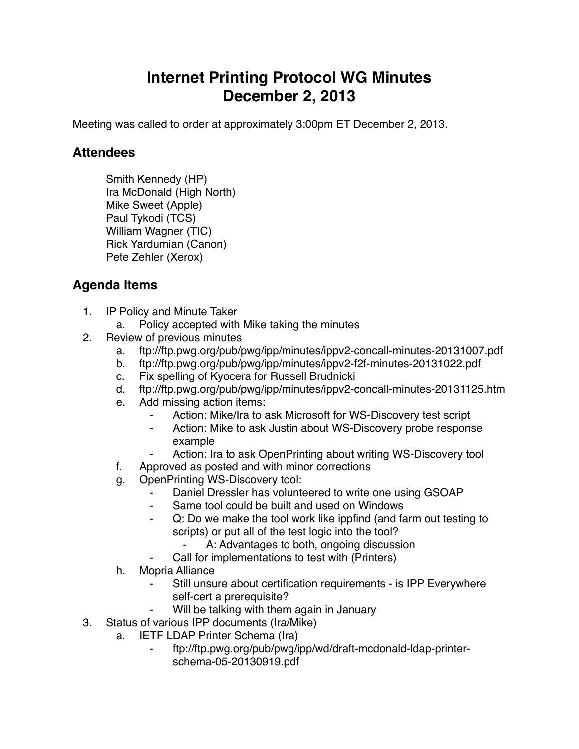## **Internet Printing Protocol WG Minutes December 2, 2013**

Meeting was called to order at approximately 3:00pm ET December 2, 2013.

## **Attendees**

Smith Kennedy (HP) Ira McDonald (High North) Mike Sweet (Apple) Paul Tykodi (TCS) William Wagner (TIC) Rick Yardumian (Canon) Pete Zehler (Xerox)

## **Agenda Items**

- 1. IP Policy and Minute Taker
	- a. Policy accepted with Mike taking the minutes
- 2. Review of previous minutes
	- a. ftp://ftp.pwg.org/pub/pwg/ipp/minutes/ippv2-concall-minutes-20131007.pdf
	- b. ftp://ftp.pwg.org/pub/pwg/ipp/minutes/ippv2-f2f-minutes-20131022.pdf
	- c. Fix spelling of Kyocera for Russell Brudnicki
	- d. ftp://ftp.pwg.org/pub/pwg/ipp/minutes/ippv2-concall-minutes-20131125.htm
	- e. Add missing action items:
		- Action: Mike/Ira to ask Microsoft for WS-Discovery test script
		- ⁃ Action: Mike to ask Justin about WS-Discovery probe response example
		- Action: Ira to ask OpenPrinting about writing WS-Discovery tool
	- f. Approved as posted and with minor corrections
	- g. OpenPrinting WS-Discovery tool:
		- Daniel Dressler has volunteered to write one using GSOAP
		- ⁃ Same tool could be built and used on Windows
		- Q: Do we make the tool work like ippfind (and farm out testing to scripts) or put all of the test logic into the tool?
			- A: Advantages to both, ongoing discussion
		- Call for implementations to test with (Printers)
	- h. Mopria Alliance
		- Still unsure about certification requirements is IPP Everywhere self-cert a prerequisite?
			- Will be talking with them again in January
- 3. Status of various IPP documents (Ira/Mike)
	- a. IETF LDAP Printer Schema (Ira)
		- ⁃ ftp://ftp.pwg.org/pub/pwg/ipp/wd/draft-mcdonald-ldap-printerschema-05-20130919.pdf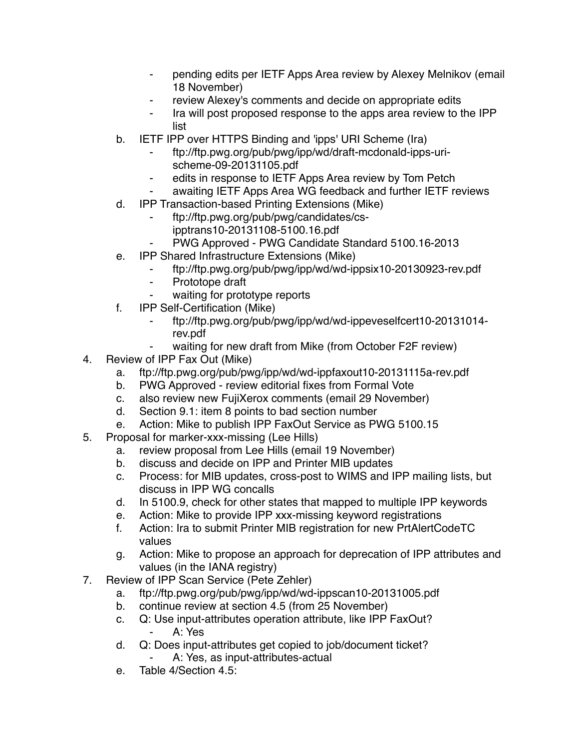- ⁃ pending edits per IETF Apps Area review by Alexey Melnikov (email 18 November)
- ⁃ review Alexey's comments and decide on appropriate edits
- ⁃ Ira will post proposed response to the apps area review to the IPP list
- b. IETF IPP over HTTPS Binding and 'ipps' URI Scheme (Ira)
	- ⁃ ftp://ftp.pwg.org/pub/pwg/ipp/wd/draft-mcdonald-ipps-urischeme-09-20131105.pdf
	- edits in response to IETF Apps Area review by Tom Petch
	- awaiting IETF Apps Area WG feedback and further IETF reviews
- d. IPP Transaction-based Printing Extensions (Mike)
	- ⁃ ftp://ftp.pwg.org/pub/pwg/candidates/csipptrans10-20131108-5100.16.pdf
	- ⁃ PWG Approved PWG Candidate Standard 5100.16-2013
- e. IPP Shared Infrastructure Extensions (Mike)
	- ⁃ ftp://ftp.pwg.org/pub/pwg/ipp/wd/wd-ippsix10-20130923-rev.pdf
	- ⁃ Prototope draft
		- waiting for prototype reports
- f. IPP Self-Certification (Mike)
	- ⁃ ftp://ftp.pwg.org/pub/pwg/ipp/wd/wd-ippeveselfcert10-20131014 rev.pdf
	- ⁃ waiting for new draft from Mike (from October F2F review)
- 4. Review of IPP Fax Out (Mike)
	- a. ftp://ftp.pwg.org/pub/pwg/ipp/wd/wd-ippfaxout10-20131115a-rev.pdf
	- b. PWG Approved review editorial fixes from Formal Vote
	- c. also review new FujiXerox comments (email 29 November)
	- d. Section 9.1: item 8 points to bad section number
	- e. Action: Mike to publish IPP FaxOut Service as PWG 5100.15
- 5. Proposal for marker-xxx-missing (Lee Hills)
	- a. review proposal from Lee Hills (email 19 November)
	- b. discuss and decide on IPP and Printer MIB updates
	- c. Process: for MIB updates, cross-post to WIMS and IPP mailing lists, but discuss in IPP WG concalls
	- d. In 5100.9, check for other states that mapped to multiple IPP keywords
	- e. Action: Mike to provide IPP xxx-missing keyword registrations
	- f. Action: Ira to submit Printer MIB registration for new PrtAlertCodeTC values
	- g. Action: Mike to propose an approach for deprecation of IPP attributes and values (in the IANA registry)
- 7. Review of IPP Scan Service (Pete Zehler)
	- a. ftp://ftp.pwg.org/pub/pwg/ipp/wd/wd-ippscan10-20131005.pdf
	- b. continue review at section 4.5 (from 25 November)
	- c. Q: Use input-attributes operation attribute, like IPP FaxOut? ⁃ A: Yes
	- d. Q: Does input-attributes get copied to job/document ticket? A: Yes, as input-attributes-actual
	- e. Table 4/Section 4.5: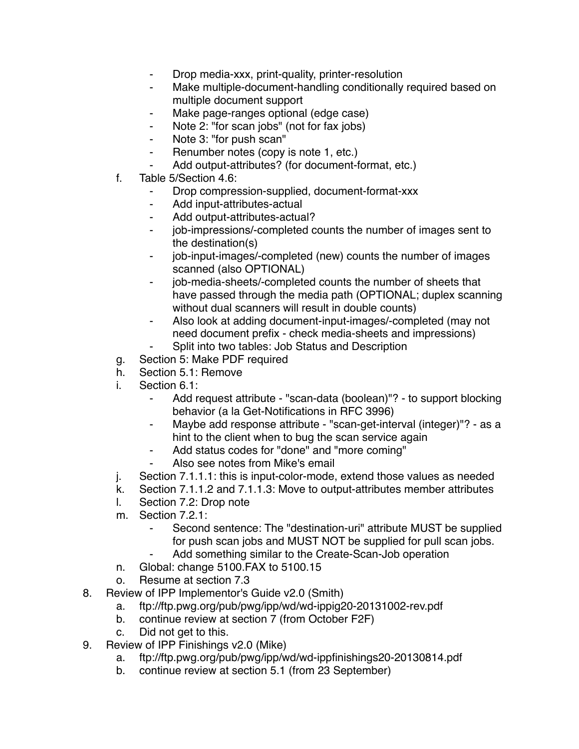- ⁃ Drop media-xxx, print-quality, printer-resolution
- Make multiple-document-handling conditionally required based on multiple document support
- Make page-ranges optional (edge case)
- ⁃ Note 2: "for scan jobs" (not for fax jobs)
- ⁃ Note 3: "for push scan"
- ⁃ Renumber notes (copy is note 1, etc.)
- Add output-attributes? (for document-format, etc.)
- f. Table 5/Section 4.6:
	- Drop compression-supplied, document-format-xxx
	- ⁃ Add input-attributes-actual
	- ⁃ Add output-attributes-actual?
	- ⁃ job-impressions/-completed counts the number of images sent to the destination(s)
	- ⁃ job-input-images/-completed (new) counts the number of images scanned (also OPTIONAL)
	- ⁃ job-media-sheets/-completed counts the number of sheets that have passed through the media path (OPTIONAL; duplex scanning without dual scanners will result in double counts)
	- ⁃ Also look at adding document-input-images/-completed (may not need document prefix - check media-sheets and impressions)
	- Split into two tables: Job Status and Description
- g. Section 5: Make PDF required
- h. Section 5.1: Remove
- i. Section 6.1:
	- Add request attribute "scan-data (boolean)"? to support blocking behavior (a la Get-Notifications in RFC 3996)
	- Maybe add response attribute "scan-get-interval (integer)"? as a hint to the client when to bug the scan service again
	- ⁃ Add status codes for "done" and "more coming"
	- ⁃ Also see notes from Mike's email
- j. Section 7.1.1.1: this is input-color-mode, extend those values as needed
- k. Section 7.1.1.2 and 7.1.1.3: Move to output-attributes member attributes
- l. Section 7.2: Drop note
- m. Section 7.2.1:
	- Second sentence: The "destination-uri" attribute MUST be supplied for push scan jobs and MUST NOT be supplied for pull scan jobs.
	- Add something similar to the Create-Scan-Job operation
- n. Global: change 5100.FAX to 5100.15
- o. Resume at section 7.3
- 8. Review of IPP Implementor's Guide v2.0 (Smith)
	- a. ftp://ftp.pwg.org/pub/pwg/ipp/wd/wd-ippig20-20131002-rev.pdf
	- b. continue review at section 7 (from October F2F)
	- c. Did not get to this.
- 9. Review of IPP Finishings v2.0 (Mike)
	- a. ftp://ftp.pwg.org/pub/pwg/ipp/wd/wd-ippfinishings20-20130814.pdf
	- b. continue review at section 5.1 (from 23 September)